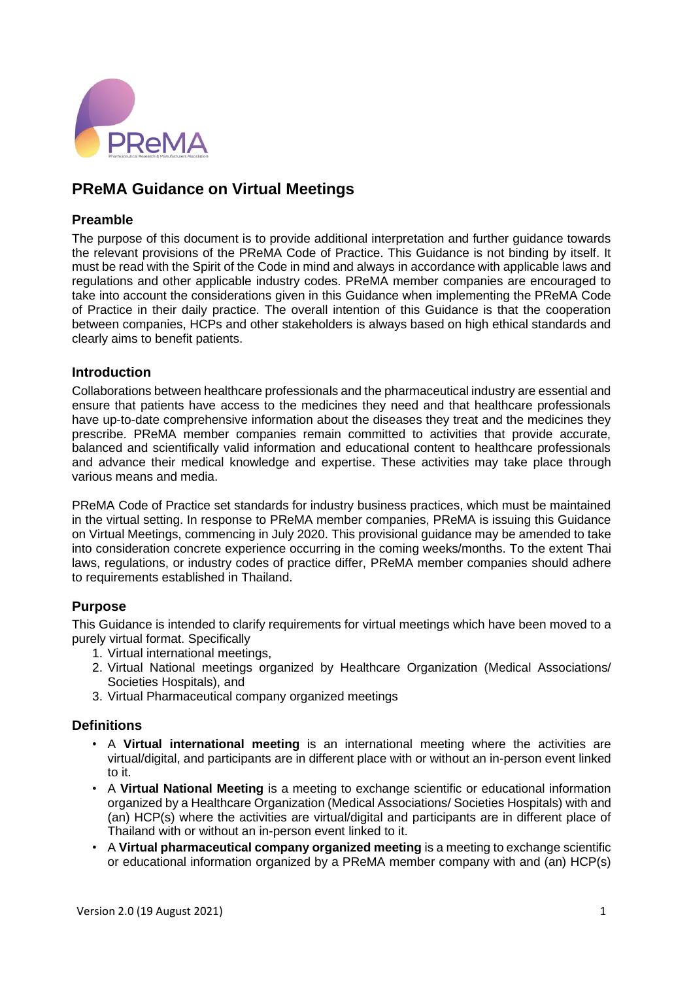

# **PReMA Guidance on Virtual Meetings**

## **Preamble**

The purpose of this document is to provide additional interpretation and further guidance towards the relevant provisions of the PReMA Code of Practice. This Guidance is not binding by itself. It must be read with the Spirit of the Code in mind and always in accordance with applicable laws and regulations and other applicable industry codes. PReMA member companies are encouraged to take into account the considerations given in this Guidance when implementing the PReMA Code of Practice in their daily practice. The overall intention of this Guidance is that the cooperation between companies, HCPs and other stakeholders is always based on high ethical standards and clearly aims to benefit patients.

## **Introduction**

Collaborations between healthcare professionals and the pharmaceutical industry are essential and ensure that patients have access to the medicines they need and that healthcare professionals have up-to-date comprehensive information about the diseases they treat and the medicines they prescribe. PReMA member companies remain committed to activities that provide accurate, balanced and scientifically valid information and educational content to healthcare professionals and advance their medical knowledge and expertise. These activities may take place through various means and media.

PReMA Code of Practice set standards for industry business practices, which must be maintained in the virtual setting. In response to PReMA member companies, PReMA is issuing this Guidance on Virtual Meetings, commencing in July 2020. This provisional guidance may be amended to take into consideration concrete experience occurring in the coming weeks/months. To the extent Thai laws, regulations, or industry codes of practice differ, PReMA member companies should adhere to requirements established in Thailand.

# **Purpose**

This Guidance is intended to clarify requirements for virtual meetings which have been moved to a purely virtual format. Specifically

- 1. Virtual international meetings,
- 2. Virtual National meetings organized by Healthcare Organization (Medical Associations/ Societies Hospitals), and
- 3. Virtual Pharmaceutical company organized meetings

## **Definitions**

- A **Virtual international meeting** is an international meeting where the activities are virtual/digital, and participants are in different place with or without an in-person event linked to it.
- A **Virtual National Meeting** is a meeting to exchange scientific or educational information organized by a Healthcare Organization (Medical Associations/ Societies Hospitals) with and (an) HCP(s) where the activities are virtual/digital and participants are in different place of Thailand with or without an in-person event linked to it.
- A **Virtual pharmaceutical company organized meeting** is a meeting to exchange scientific or educational information organized by a PReMA member company with and (an) HCP(s)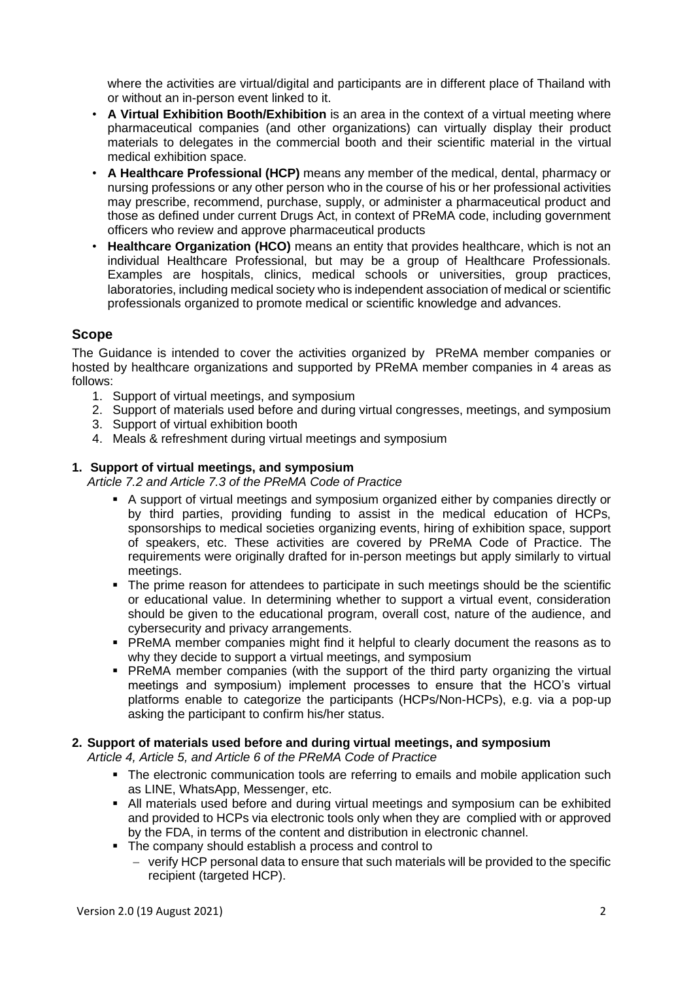where the activities are virtual/digital and participants are in different place of Thailand with or without an in-person event linked to it.

- **A Virtual Exhibition Booth/Exhibition** is an area in the context of a virtual meeting where pharmaceutical companies (and other organizations) can virtually display their product materials to delegates in the commercial booth and their scientific material in the virtual medical exhibition space.
- **A Healthcare Professional (HCP)** means any member of the medical, dental, pharmacy or nursing professions or any other person who in the course of his or her professional activities may prescribe, recommend, purchase, supply, or administer a pharmaceutical product and those as defined under current Drugs Act, in context of PReMA code, including government officers who review and approve pharmaceutical products
- **Healthcare Organization (HCO)** means an entity that provides healthcare, which is not an individual Healthcare Professional, but may be a group of Healthcare Professionals. Examples are hospitals, clinics, medical schools or universities, group practices, laboratories, including medical society who is independent association of medical or scientific professionals organized to promote medical or scientific knowledge and advances.

## **Scope**

The Guidance is intended to cover the activities organized by PReMA member companies or hosted by healthcare organizations and supported by PReMA member companies in 4 areas as follows:

- 1. Support of virtual meetings, and symposium
- 2. Support of materials used before and during virtual congresses, meetings, and symposium
- 3. Support of virtual exhibition booth
- 4. Meals & refreshment during virtual meetings and symposium

#### **1. Support of virtual meetings, and symposium**

*Article 7.2 and Article 7.3 of the PReMA Code of Practice*

- A support of virtual meetings and symposium organized either by companies directly or by third parties, providing funding to assist in the medical education of HCPs, sponsorships to medical societies organizing events, hiring of exhibition space, support of speakers, etc. These activities are covered by PReMA Code of Practice. The requirements were originally drafted for in-person meetings but apply similarly to virtual meetings.
- The prime reason for attendees to participate in such meetings should be the scientific or educational value. In determining whether to support a virtual event, consideration should be given to the educational program, overall cost, nature of the audience, and cybersecurity and privacy arrangements.
- PReMA member companies might find it helpful to clearly document the reasons as to why they decide to support a virtual meetings, and symposium
- PReMA member companies (with the support of the third party organizing the virtual meetings and symposium) implement processes to ensure that the HCO's virtual platforms enable to categorize the participants (HCPs/Non-HCPs), e.g. via a pop-up asking the participant to confirm his/her status.

#### **2. Support of materials used before and during virtual meetings, and symposium**

*Article 4, Article 5, and Article 6 of the PReMA Code of Practice*

- The electronic communication tools are referring to emails and mobile application such as LINE, WhatsApp, Messenger, etc.
- All materials used before and during virtual meetings and symposium can be exhibited and provided to HCPs via electronic tools only when they are complied with or approved by the FDA, in terms of the content and distribution in electronic channel.
- The company should establish a process and control to
	- − verify HCP personal data to ensure that such materials will be provided to the specific recipient (targeted HCP).